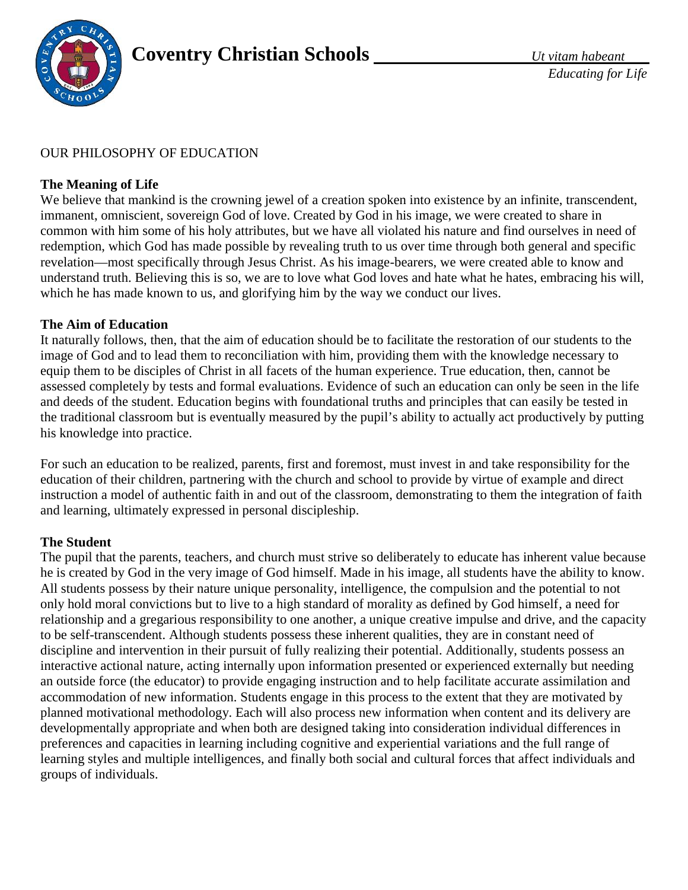

# OUR PHILOSOPHY OF EDUCATION

## **The Meaning of Life**

We believe that mankind is the crowning jewel of a creation spoken into existence by an infinite, transcendent, immanent, omniscient, sovereign God of love. Created by God in his image, we were created to share in common with him some of his holy attributes, but we have all violated his nature and find ourselves in need of redemption, which God has made possible by revealing truth to us over time through both general and specific revelation—most specifically through Jesus Christ. As his image-bearers, we were created able to know and understand truth. Believing this is so, we are to love what God loves and hate what he hates, embracing his will, which he has made known to us, and glorifying him by the way we conduct our lives.

## **The Aim of Education**

It naturally follows, then, that the aim of education should be to facilitate the restoration of our students to the image of God and to lead them to reconciliation with him, providing them with the knowledge necessary to equip them to be disciples of Christ in all facets of the human experience. True education, then, cannot be assessed completely by tests and formal evaluations. Evidence of such an education can only be seen in the life and deeds of the student. Education begins with foundational truths and principles that can easily be tested in the traditional classroom but is eventually measured by the pupil's ability to actually act productively by putting his knowledge into practice.

For such an education to be realized, parents, first and foremost, must invest in and take responsibility for the education of their children, partnering with the church and school to provide by virtue of example and direct instruction a model of authentic faith in and out of the classroom, demonstrating to them the integration of faith and learning, ultimately expressed in personal discipleship.

## **The Student**

The pupil that the parents, teachers, and church must strive so deliberately to educate has inherent value because he is created by God in the very image of God himself. Made in his image, all students have the ability to know. All students possess by their nature unique personality, intelligence, the compulsion and the potential to not only hold moral convictions but to live to a high standard of morality as defined by God himself, a need for relationship and a gregarious responsibility to one another, a unique creative impulse and drive, and the capacity to be self-transcendent. Although students possess these inherent qualities, they are in constant need of discipline and intervention in their pursuit of fully realizing their potential. Additionally, students possess an interactive actional nature, acting internally upon information presented or experienced externally but needing an outside force (the educator) to provide engaging instruction and to help facilitate accurate assimilation and accommodation of new information. Students engage in this process to the extent that they are motivated by planned motivational methodology. Each will also process new information when content and its delivery are developmentally appropriate and when both are designed taking into consideration individual differences in preferences and capacities in learning including cognitive and experiential variations and the full range of learning styles and multiple intelligences, and finally both social and cultural forces that affect individuals and groups of individuals.